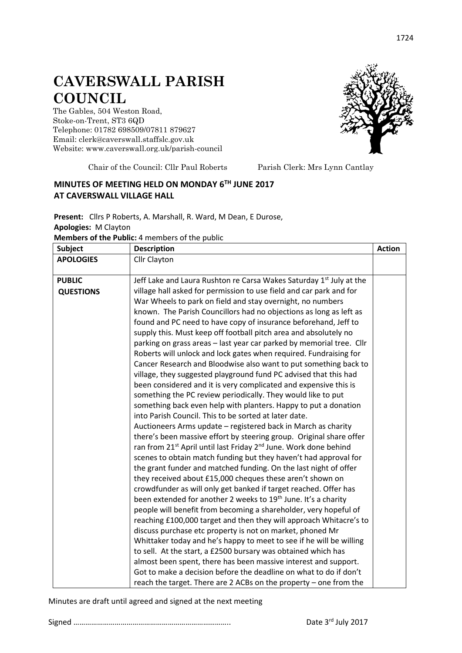## **CAVERSWALL PARISH COUNCIL**

The Gables, 504 Weston Road, Stoke-on-Trent, ST3 6QD Telephone: 01782 698509/07811 879627 Email: clerk@caverswall.staffslc.gov.uk Website: [www.c](http://www.dilhorneparishcouncil.co.uk/)averswall.org.uk/parish-council



Chair of the Council: Cllr Paul Roberts Parish Clerk: Mrs Lynn Cantlay

## **MINUTES OF MEETING HELD ON MONDAY 6 TH JUNE 2017 AT CAVERSWALL VILLAGE HALL**

**Present:** Cllrs P Roberts, A. Marshall, R. Ward, M Dean, E Durose, **Apologies:** M Clayton **Members of the Public:** 4 members of the public

| <b>Subject</b>   | <b>Description</b>                                                                                                                   | <b>Action</b> |
|------------------|--------------------------------------------------------------------------------------------------------------------------------------|---------------|
| <b>APOLOGIES</b> | Cllr Clayton                                                                                                                         |               |
|                  |                                                                                                                                      |               |
| <b>PUBLIC</b>    | Jeff Lake and Laura Rushton re Carsa Wakes Saturday 1 <sup>st</sup> July at the                                                      |               |
| <b>QUESTIONS</b> | village hall asked for permission to use field and car park and for                                                                  |               |
|                  | War Wheels to park on field and stay overnight, no numbers                                                                           |               |
|                  | known. The Parish Councillors had no objections as long as left as                                                                   |               |
|                  | found and PC need to have copy of insurance beforehand, Jeff to                                                                      |               |
|                  | supply this. Must keep off football pitch area and absolutely no                                                                     |               |
|                  | parking on grass areas - last year car parked by memorial tree. Cllr                                                                 |               |
|                  | Roberts will unlock and lock gates when required. Fundraising for                                                                    |               |
|                  | Cancer Research and Bloodwise also want to put something back to                                                                     |               |
|                  | village, they suggested playground fund PC advised that this had<br>been considered and it is very complicated and expensive this is |               |
|                  | something the PC review periodically. They would like to put                                                                         |               |
|                  | something back even help with planters. Happy to put a donation                                                                      |               |
|                  | into Parish Council. This to be sorted at later date.                                                                                |               |
|                  | Auctioneers Arms update - registered back in March as charity                                                                        |               |
|                  | there's been massive effort by steering group. Original share offer                                                                  |               |
|                  | ran from 21 <sup>st</sup> April until last Friday 2 <sup>nd</sup> June. Work done behind                                             |               |
|                  | scenes to obtain match funding but they haven't had approval for                                                                     |               |
|                  | the grant funder and matched funding. On the last night of offer                                                                     |               |
|                  | they received about £15,000 cheques these aren't shown on                                                                            |               |
|                  | crowdfunder as will only get banked if target reached. Offer has                                                                     |               |
|                  | been extended for another 2 weeks to 19 <sup>th</sup> June. It's a charity                                                           |               |
|                  | people will benefit from becoming a shareholder, very hopeful of                                                                     |               |
|                  | reaching £100,000 target and then they will approach Whitacre's to                                                                   |               |
|                  | discuss purchase etc property is not on market, phoned Mr                                                                            |               |
|                  | Whittaker today and he's happy to meet to see if he will be willing                                                                  |               |
|                  | to sell. At the start, a £2500 bursary was obtained which has                                                                        |               |
|                  | almost been spent, there has been massive interest and support.                                                                      |               |
|                  | Got to make a decision before the deadline on what to do if don't                                                                    |               |
|                  | reach the target. There are 2 ACBs on the property - one from the                                                                    |               |

Minutes are draft until agreed and signed at the next meeting

Signed …………………………………………………………………….. Date 3

1724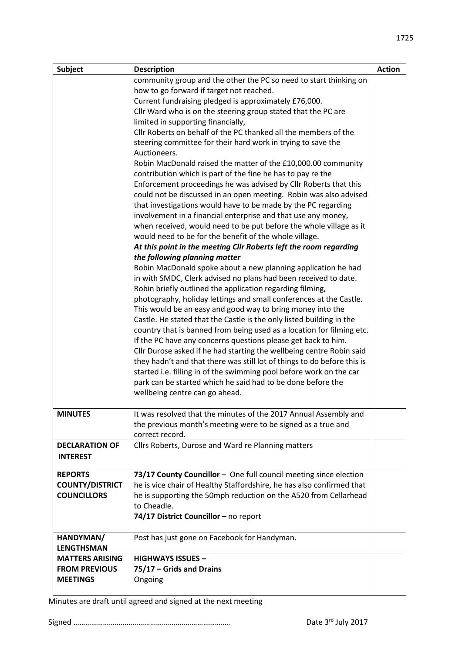| <b>Subject</b>         | <b>Description</b>                                                                                                                  | <b>Action</b> |
|------------------------|-------------------------------------------------------------------------------------------------------------------------------------|---------------|
|                        | community group and the other the PC so need to start thinking on                                                                   |               |
|                        | how to go forward if target not reached.                                                                                            |               |
|                        | Current fundraising pledged is approximately £76,000.                                                                               |               |
|                        | Cllr Ward who is on the steering group stated that the PC are                                                                       |               |
|                        | limited in supporting financially,                                                                                                  |               |
|                        | Cllr Roberts on behalf of the PC thanked all the members of the                                                                     |               |
|                        | steering committee for their hard work in trying to save the                                                                        |               |
|                        | Auctioneers.                                                                                                                        |               |
|                        | Robin MacDonald raised the matter of the £10,000.00 community                                                                       |               |
|                        | contribution which is part of the fine he has to pay re the                                                                         |               |
|                        | Enforcement proceedings he was advised by Cllr Roberts that this                                                                    |               |
|                        | could not be discussed in an open meeting. Robin was also advised                                                                   |               |
|                        | that investigations would have to be made by the PC regarding                                                                       |               |
|                        | involvement in a financial enterprise and that use any money,<br>when received, would need to be put before the whole village as it |               |
|                        | would need to be for the benefit of the whole village.                                                                              |               |
|                        | At this point in the meeting Cllr Roberts left the room regarding                                                                   |               |
|                        | the following planning matter                                                                                                       |               |
|                        | Robin MacDonald spoke about a new planning application he had                                                                       |               |
|                        | in with SMDC, Clerk advised no plans had been received to date.                                                                     |               |
|                        | Robin briefly outlined the application regarding filming,                                                                           |               |
|                        | photography, holiday lettings and small conferences at the Castle.                                                                  |               |
|                        | This would be an easy and good way to bring money into the                                                                          |               |
|                        | Castle. He stated that the Castle is the only listed building in the                                                                |               |
|                        | country that is banned from being used as a location for filming etc.                                                               |               |
|                        | If the PC have any concerns questions please get back to him.                                                                       |               |
|                        | Cllr Durose asked if he had starting the wellbeing centre Robin said                                                                |               |
|                        | they hadn't and that there was still lot of things to do before this is                                                             |               |
|                        | started i.e. filling in of the swimming pool before work on the car                                                                 |               |
|                        | park can be started which he said had to be done before the                                                                         |               |
|                        | wellbeing centre can go ahead.                                                                                                      |               |
|                        |                                                                                                                                     |               |
| <b>MINUTES</b>         | It was resolved that the minutes of the 2017 Annual Assembly and                                                                    |               |
|                        | the previous month's meeting were to be signed as a true and                                                                        |               |
|                        | correct record.                                                                                                                     |               |
| <b>DECLARATION OF</b>  | Cllrs Roberts, Durose and Ward re Planning matters                                                                                  |               |
| <b>INTEREST</b>        |                                                                                                                                     |               |
| <b>REPORTS</b>         | 73/17 County Councillor - One full council meeting since election                                                                   |               |
| <b>COUNTY/DISTRICT</b> | he is vice chair of Healthy Staffordshire, he has also confirmed that                                                               |               |
| <b>COUNCILLORS</b>     | he is supporting the 50mph reduction on the A520 from Cellarhead                                                                    |               |
|                        | to Cheadle.                                                                                                                         |               |
|                        | 74/17 District Councillor - no report                                                                                               |               |
|                        |                                                                                                                                     |               |
| HANDYMAN/              | Post has just gone on Facebook for Handyman.                                                                                        |               |
| <b>LENGTHSMAN</b>      |                                                                                                                                     |               |
| <b>MATTERS ARISING</b> | <b>HIGHWAYS ISSUES -</b>                                                                                                            |               |
| <b>FROM PREVIOUS</b>   | 75/17 - Grids and Drains                                                                                                            |               |
| <b>MEETINGS</b>        | Ongoing                                                                                                                             |               |
|                        |                                                                                                                                     |               |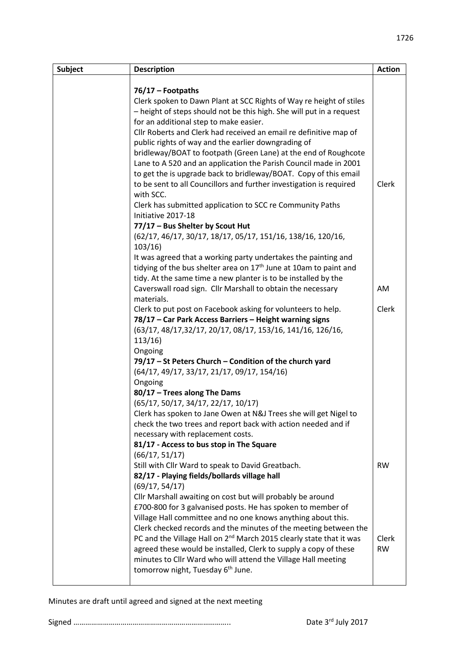| <b>Subject</b> | <b>Description</b>                                                              | <b>Action</b> |
|----------------|---------------------------------------------------------------------------------|---------------|
|                |                                                                                 |               |
|                | 76/17 - Footpaths                                                               |               |
|                | Clerk spoken to Dawn Plant at SCC Rights of Way re height of stiles             |               |
|                | - height of steps should not be this high. She will put in a request            |               |
|                | for an additional step to make easier.                                          |               |
|                | Cllr Roberts and Clerk had received an email re definitive map of               |               |
|                | public rights of way and the earlier downgrading of                             |               |
|                | bridleway/BOAT to footpath (Green Lane) at the end of Roughcote                 |               |
|                | Lane to A 520 and an application the Parish Council made in 2001                |               |
|                | to get the is upgrade back to bridleway/BOAT. Copy of this email                |               |
|                | to be sent to all Councillors and further investigation is required             | Clerk         |
|                | with SCC.                                                                       |               |
|                | Clerk has submitted application to SCC re Community Paths                       |               |
|                | Initiative 2017-18                                                              |               |
|                | 77/17 - Bus Shelter by Scout Hut                                                |               |
|                | (62/17, 46/17, 30/17, 18/17, 05/17, 151/16, 138/16, 120/16,<br>103/16           |               |
|                | It was agreed that a working party undertakes the painting and                  |               |
|                | tidying of the bus shelter area on 17 <sup>th</sup> June at 10am to paint and   |               |
|                | tidy. At the same time a new planter is to be installed by the                  |               |
|                | Caverswall road sign. Cllr Marshall to obtain the necessary                     | AM            |
|                | materials.                                                                      |               |
|                | Clerk to put post on Facebook asking for volunteers to help.                    | Clerk         |
|                | 78/17 - Car Park Access Barriers - Height warning signs                         |               |
|                | (63/17, 48/17, 32/17, 20/17, 08/17, 153/16, 141/16, 126/16,                     |               |
|                | 113/16                                                                          |               |
|                | Ongoing                                                                         |               |
|                | 79/17 - St Peters Church - Condition of the church yard                         |               |
|                | $(64/17, 49/17, 33/17, 21/17, 09/17, 154/16)$                                   |               |
|                | Ongoing                                                                         |               |
|                | 80/17 - Trees along The Dams                                                    |               |
|                | (65/17, 50/17, 34/17, 22/17, 10/17)                                             |               |
|                | Clerk has spoken to Jane Owen at N&J Trees she will get Nigel to                |               |
|                | check the two trees and report back with action needed and if                   |               |
|                | necessary with replacement costs.                                               |               |
|                | 81/17 - Access to bus stop in The Square                                        |               |
|                | (66/17, 51/17)                                                                  |               |
|                | Still with Cllr Ward to speak to David Greatbach.                               | <b>RW</b>     |
|                | 82/17 - Playing fields/bollards village hall                                    |               |
|                | (69/17, 54/17)                                                                  |               |
|                | Cllr Marshall awaiting on cost but will probably be around                      |               |
|                | £700-800 for 3 galvanised posts. He has spoken to member of                     |               |
|                | Village Hall committee and no one knows anything about this.                    |               |
|                | Clerk checked records and the minutes of the meeting between the                |               |
|                | PC and the Village Hall on 2 <sup>nd</sup> March 2015 clearly state that it was | Clerk         |
|                | agreed these would be installed, Clerk to supply a copy of these                | <b>RW</b>     |
|                | minutes to Cllr Ward who will attend the Village Hall meeting                   |               |
|                | tomorrow night, Tuesday 6 <sup>th</sup> June.                                   |               |
|                |                                                                                 |               |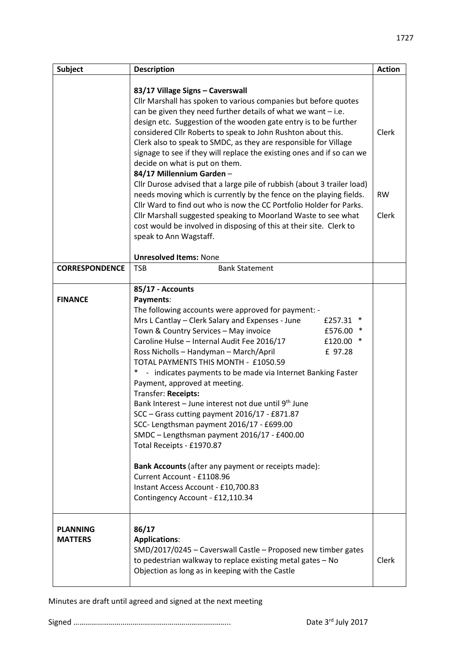| <b>Subject</b>                    | <b>Description</b>                                                                                                                                                                                                                                                                                                                                                                                                                                                                                                                                                                                                                                                                                                                                                                                                                                                                                                 | <b>Action</b>               |
|-----------------------------------|--------------------------------------------------------------------------------------------------------------------------------------------------------------------------------------------------------------------------------------------------------------------------------------------------------------------------------------------------------------------------------------------------------------------------------------------------------------------------------------------------------------------------------------------------------------------------------------------------------------------------------------------------------------------------------------------------------------------------------------------------------------------------------------------------------------------------------------------------------------------------------------------------------------------|-----------------------------|
|                                   | 83/17 Village Signs - Caverswall<br>Cllr Marshall has spoken to various companies but before quotes<br>can be given they need further details of what we want $-$ i.e.<br>design etc. Suggestion of the wooden gate entry is to be further<br>considered Cllr Roberts to speak to John Rushton about this.<br>Clerk also to speak to SMDC, as they are responsible for Village<br>signage to see if they will replace the existing ones and if so can we<br>decide on what is put on them.<br>84/17 Millennium Garden-<br>Cllr Durose advised that a large pile of rubbish (about 3 trailer load)<br>needs moving which is currently by the fence on the playing fields.<br>Cllr Ward to find out who is now the CC Portfolio Holder for Parks.<br>Cllr Marshall suggested speaking to Moorland Waste to see what<br>cost would be involved in disposing of this at their site. Clerk to<br>speak to Ann Wagstaff. | Clerk<br><b>RW</b><br>Clerk |
|                                   | <b>Unresolved Items: None</b>                                                                                                                                                                                                                                                                                                                                                                                                                                                                                                                                                                                                                                                                                                                                                                                                                                                                                      |                             |
| <b>CORRESPONDENCE</b>             | <b>TSB</b><br><b>Bank Statement</b>                                                                                                                                                                                                                                                                                                                                                                                                                                                                                                                                                                                                                                                                                                                                                                                                                                                                                |                             |
| <b>FINANCE</b>                    | 85/17 - Accounts<br>Payments:<br>The following accounts were approved for payment: -<br>Mrs L Cantlay - Clerk Salary and Expenses - June<br>£257.31<br>Town & Country Services - May invoice<br>£576.00<br>Caroline Hulse - Internal Audit Fee 2016/17<br>£120.00 *<br>Ross Nicholls - Handyman - March/April<br>£ 97.28<br>TOTAL PAYMENTS THIS MONTH - £1050.59<br>- indicates payments to be made via Internet Banking Faster<br>Payment, approved at meeting.<br>Transfer: Receipts:<br>Bank Interest – June interest not due until 9 <sup>th</sup> June<br>SCC - Grass cutting payment 2016/17 - £871.87<br>SCC- Lengthsman payment 2016/17 - £699.00<br>SMDC - Lengthsman payment 2016/17 - £400.00<br>Total Receipts - £1970.87<br>Bank Accounts (after any payment or receipts made):<br>Current Account - £1108.96<br>Instant Access Account - £10,700.83<br>Contingency Account - £12,110.34              |                             |
| <b>PLANNING</b><br><b>MATTERS</b> | 86/17<br><b>Applications:</b><br>SMD/2017/0245 - Caverswall Castle - Proposed new timber gates<br>to pedestrian walkway to replace existing metal gates - No<br>Objection as long as in keeping with the Castle                                                                                                                                                                                                                                                                                                                                                                                                                                                                                                                                                                                                                                                                                                    | Clerk                       |